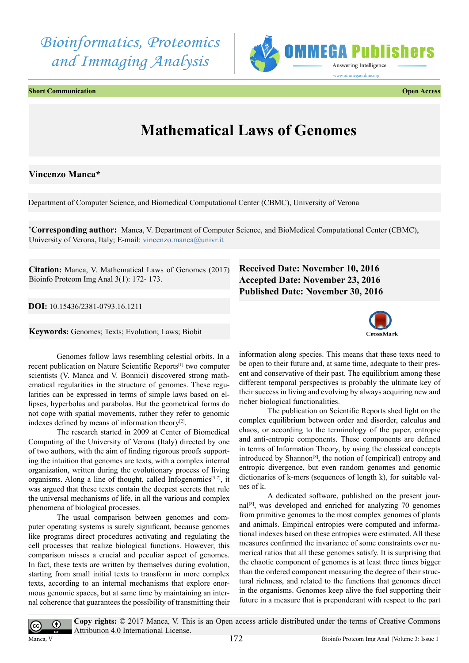# *Bioinformatics, Proteomics and Immaging Analysis*





## **Mathematical Laws of Genomes**

#### **Vincenzo Manca\***

Department of Computer Science, and Biomedical Computational Center (CBMC), University of Verona

**\* Corresponding author:** Manca, V. Department of Computer Science, and BioMedical Computational Center (CBMC), University of Verona, Italy; E-mail: [vincenzo.manca@univr.it](mailto:vincenzo.manca@univr.it)

**Citation:** Manca, V. Mathematical Laws of Genomes (2017) Bioinfo Proteom Img Anal 3(1): 172- 173.

**DOI:** [10.15436/2381-0793.16.](http://www.dx.doi.org/10.15436/2381-0793.16.1211
)1211

**Keywords:** Genomes; Texts; Evolution; Laws; Biobit

#### Genomes follow laws resembling celestial orbits. In a recent publication on Nature Scientific Reports[\[1\]](#page-1-0) two computer scientists (V. Manca and V. Bonnici) discovered strong mathematical regularities in the structure of genomes. These regularities can be expressed in terms of simple laws based on ellipses, hyperbolas and parabolas. But the geometrical forms do not cope with spatial movements, rather they refer to genomic indexes defined by means of information theory $[2]$ .

The research started in 2009 at Center of Biomedical Computing of the University of Verona (Italy) directed by one of two authors, with the aim of finding rigorous proofs supporting the intuition that genomes are texts, with a complex internal organization, written during the evolutionary process of living organisms. Along a line of thought, called Infogenomic[s\[3-7\]](#page-1-2), it was argued that these texts contain the deepest secrets that rule the universal mechanisms of life, in all the various and complex phenomena of biological processes.

The usual comparison between genomes and computer operating systems is surely significant, because genomes like programs direct procedures activating and regulating the cell processes that realize biological functions. However, this comparison misses a crucial and peculiar aspect of genomes. In fact, these texts are written by themselves during evolution, starting from small initial texts to transform in more complex texts, according to an internal mechanisms that explore enormous genomic spaces, but at same time by maintaining an internal coherence that guarantees the possibility of transmitting their

### **Received Date: November 10, 2016 Accepted Date: November 23, 2016 Published Date: November 30, 2016**



information along species. This means that these texts need to be open to their future and, at same time, adequate to their present and conservative of their past. The equilibrium among these different temporal perspectives is probably the ultimate key of their success in living and evolving by always acquiring new and richer biological functionalities.

The publication on Scientific Reports shed light on the complex equilibrium between order and disorder, calculus and chaos, or according to the terminology of the paper, entropic and anti-entropic components. These components are defined in terms of Information Theory, by using the classical concepts introduced by Shanno[n\[8\],](#page-1-3) the notion of (empirical) entropy and entropic divergence, but even random genomes and genomic dictionaries of k-mers (sequences of length k), for suitable values of k.

A dedicated software, published on the present journal[\[8\],](#page-1-3) was developed and enriched for analyzing 70 genomes from primitive genomes to the most complex genomes of plants and animals. Empirical entropies were computed and informational indexes based on these entropies were estimated. All these measures confirmed the invariance of some constraints over numerical ratios that all these genomes satisfy. It is surprising that the chaotic component of genomes is at least three times bigger than the ordered component measuring the degree of their structural richness, and related to the functions that genomes direct in the organisms. Genomes keep alive the fuel supporting their future in a measure that is preponderant with respect to the part

Manca, V

 $|cc|$ 

 $\odot$ 

**Copy rights:** © 2017 Manca, V. This is an Open access article distributed under the terms of Creative Commons Attribution 4.0 International License.